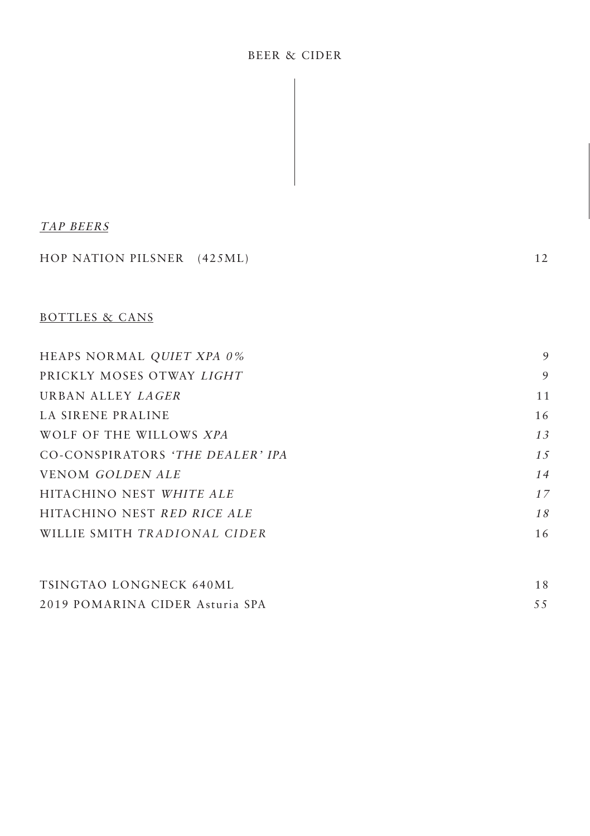#### BEER & CIDER

 $\overline{\phantom{a}}$ 

#### TAP BEERS

| HOP NATION PILSNER (425ML)       | 12  |
|----------------------------------|-----|
| <b>BOTTLES &amp; CANS</b>        |     |
| HEAPS NORMAL QUIET XPA 0%        | 9   |
| PRICKLY MOSES OTWAY LIGHT        | 9   |
| URBAN ALLEY <i>LAGER</i>         | 11  |
| <b>LA SIRENE PRALINE</b>         | 16  |
| WOLF OF THE WILLOWS XPA          | 13  |
| CO-CONSPIRATORS 'THE DEALER' IPA | 1.5 |
| <b>VENOM GOLDEN ALE</b>          | 14  |
| HITACHINO NEST WHITE ALE         | 17  |
| HITACHINO NEST RED RICE ALE      | 18  |

| WILLIE SMITH TRADIONAL CIDER |  |
|------------------------------|--|
|------------------------------|--|

| TSINGTAO LONGNECK 640ML         |  |
|---------------------------------|--|
| 2019 POMARINA CIDER Asturia SPA |  |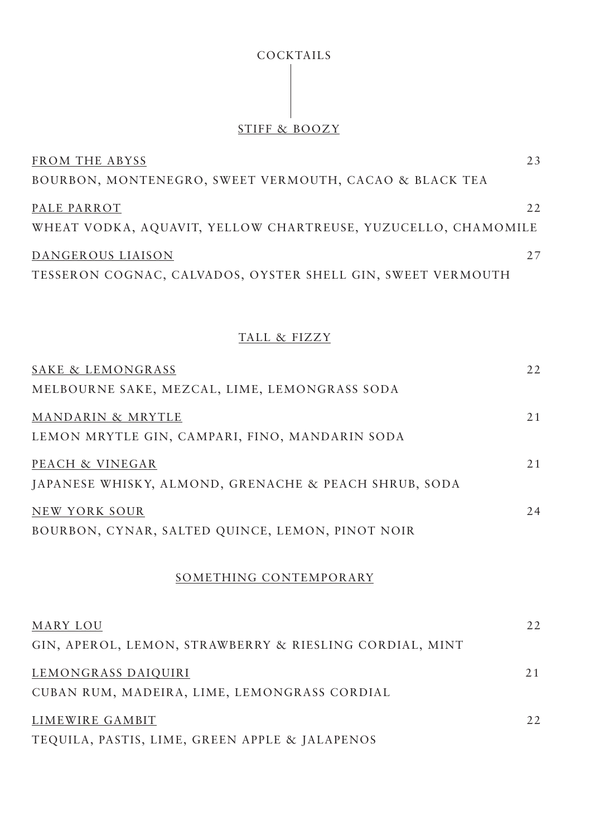# COCKTAILS

# STIFF & BOOZY

| FROM THE ABYSS                                                | 2.3 |
|---------------------------------------------------------------|-----|
| BOURBON, MONTENEGRO, SWEET VERMOUTH, CACAO & BLACK TEA        |     |
| PALE PARROT                                                   | 22  |
| WHEAT VODKA, AQUAVIT, YELLOW CHARTREUSE, YUZUCELLO, CHAMOMILE |     |
| DANGEROUS LIAISON                                             | 27  |
| TESSERON COGNAC, CALVADOS, OYSTER SHELL GIN, SWEET VERMOUTH   |     |

#### TALL & FIZZY

| SAKE & LEMONGRASS                                       | 22  |
|---------------------------------------------------------|-----|
| MELBOURNE SAKE, MEZCAL, LIME, LEMONGRASS SODA           |     |
| MANDARIN & MRYTLE                                       | 21  |
| LEMON MRYTLE GIN, CAMPARI, FINO, MANDARIN SODA          |     |
| PEACH & VINEGAR                                         | 21  |
| JAPANESE WHISKY, ALMOND, GRENACHE & PEACH SHRUB, SODA   |     |
| NEW YORK SOUR                                           | 2.4 |
| BOURBON, CYNAR, SALTED QUINCE, LEMON, PINOT NOIR        |     |
| SOMETHING CONTEMPORARY                                  |     |
| MARY LOU                                                | 22  |
| GIN, APEROL, LEMON, STRAWBERRY & RIESLING CORDIAL, MINT |     |
| LEMONGRASS DAIQUIRI                                     | 21  |
| CUBAN RUM, MADEIRA, LIME, LEMONGRASS CORDIAL            |     |
|                                                         |     |

LIMEWIRE GAMBIT 22 TEQUILA, PASTIS, LIME, GREEN APPLE & JALAPENOS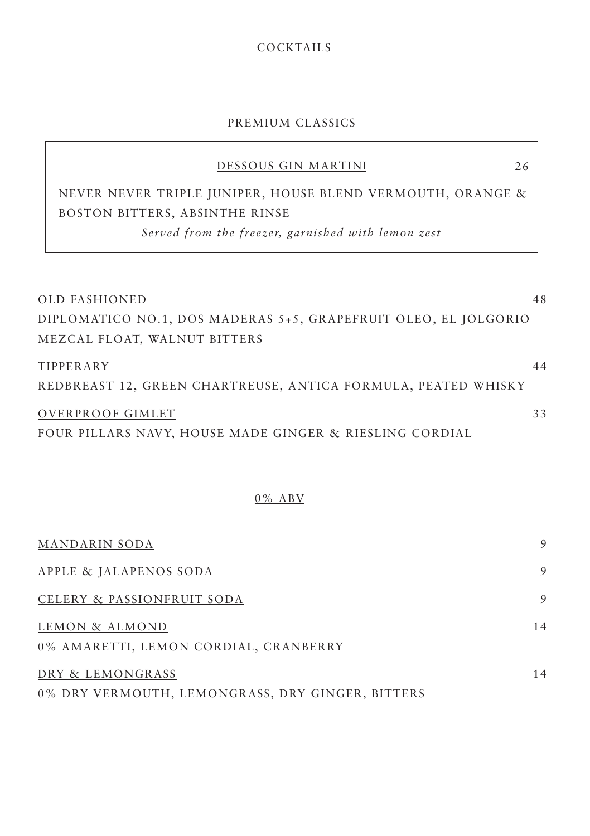# COCKTAILS

# PREMIUM CLASSICS

#### DESSOUS GIN MARTINI

 NEVER NEVER TRIPLE JUNIPER, HOUSE BLEND VERMOUTH, ORANGE & BOSTON BITTERS, ABSINTHE RINSE

*Served from the freezer, garnished with lemon zest*

| OLD FASHIONED                                                   | 48 |
|-----------------------------------------------------------------|----|
| DIPLOMATICO NO.1, DOS MADERAS 5+5, GRAPEFRUIT OLEO, EL JOLGORIO |    |
| MEZCAL FLOAT, WALNUT BITTERS                                    |    |
| TIPPERARY                                                       | 44 |
| REDBREAST 12, GREEN CHARTREUSE, ANTICA FORMULA, PEATED WHISKY   |    |
| OVERPROOF GIMLET                                                | 33 |
| FOUR PILLARS NAVY, HOUSE MADE GINGER & RIESLING CORDIAL         |    |

#### 0% ABV

| MANDARIN SODA                                                        | 9  |
|----------------------------------------------------------------------|----|
| APPLE & JALAPENOS SODA                                               | 9  |
| CELERY & PASSIONFRUIT SODA                                           | 9  |
| LEMON & ALMOND<br>0% AMARETTI, LEMON CORDIAL, CRANBERRY              | 14 |
| DRY & LEMONGRASS<br>0% DRY VERMOUTH, LEMONGRASS, DRY GINGER, BITTERS | 14 |

26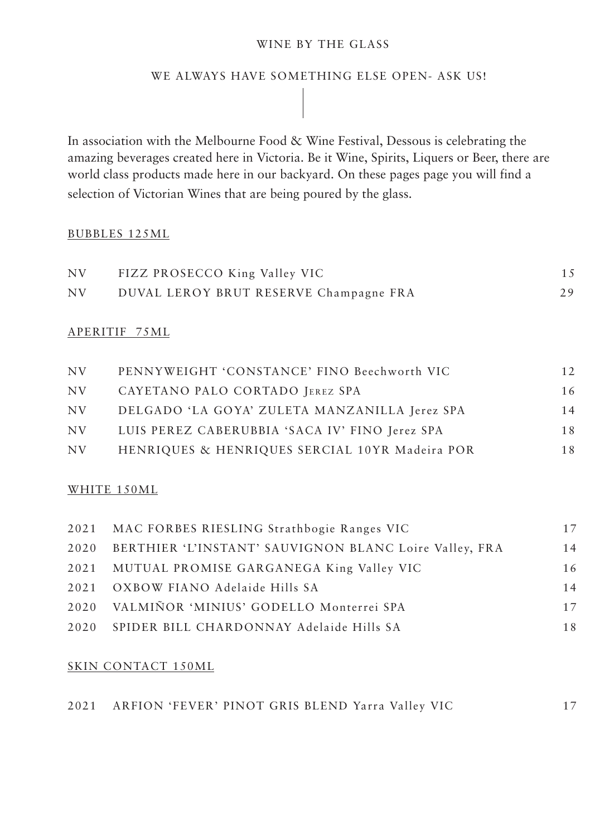#### WINE BY THE GLASS

## WE ALWAYS HAVE SOMETHING ELSE OPEN- ASK US!

In association with the Melbourne Food & Wine Festival, Dessous is celebrating the amazing beverages created here in Victoria. Be it Wine, Spirits, Liquers or Beer, there are world class products made here in our backyard. On these pages page you will find a selection of Victorian Wines that are being poured by the glass.

#### BUBBLES 125ML

| NV | FIZZ PROSECCO King Valley VIC          |    |
|----|----------------------------------------|----|
| NV | DUVAL LEROY BRUT RESERVE Champagne FRA | 29 |

#### APERITIF 75ML

| NV. | PENNYWEIGHT 'CONSTANCE' FINO Beechworth VIC    | 12 |
|-----|------------------------------------------------|----|
| NV. | CAYETANO PALO CORTADO JEREZ SPA                | 16 |
| NV. | DELGADO 'LA GOYA' ZULETA MANZANILLA Jerez SPA  | 14 |
| NV. | LUIS PEREZ CABERUBBIA 'SACA IV' FINO Jerez SPA | 18 |
| NV. | HENRIQUES & HENRIQUES SERCIAL 10YR Madeira POR | 18 |

#### WHITE 150ML

| 17 |
|----|
| 14 |
| 16 |
| 14 |
| 17 |
| 18 |
|    |

#### SKIN CONTACT 150ML

| 2021 ARFION 'FEVER' PINOT GRIS BLEND Yarra Valley VIC |  |  |  |  |  |
|-------------------------------------------------------|--|--|--|--|--|
|                                                       |  |  |  |  |  |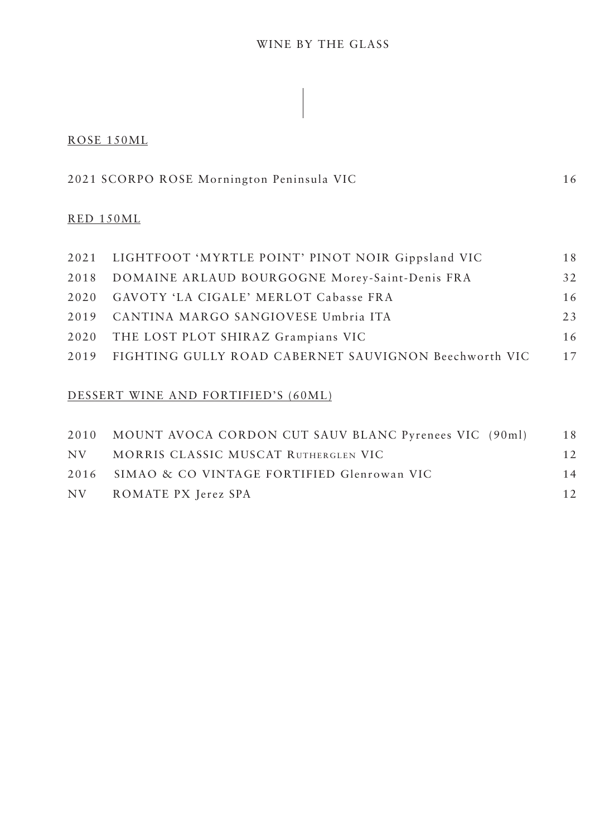### WINE BY THE GLASS

#### ROSE 150ML

| 2021 SCORPO ROSE Mornington Peninsula VIC |  |
|-------------------------------------------|--|
|-------------------------------------------|--|

#### RED 150ML

| 2021 LIGHTFOOT 'MYRTLE POINT' PINOT NOIR Gippsland VIC     | 18  |
|------------------------------------------------------------|-----|
| 2018 DOMAINE ARLAUD BOURGOGNE Morey-Saint-Denis FRA        | 32  |
| 2020 GAVOTY 'LA CIGALE' MERLOT Cabasse FRA                 | 16  |
| 2019 CANTINA MARGO SANGIOVESE Umbria ITA                   | 2.3 |
| 2020 THE LOST PLOT SHIRAZ Grampians VIC                    | 16  |
| 2019 FIGHTING GULLY ROAD CABERNET SAUVIGNON Beechworth VIC | 17  |

# DESSERT WINE AND FORTIFIED'S (60ML)

|      | 2010 MOUNT AVOCA CORDON CUT SAUV BLANC Pyrenees VIC (90ml) | 18  |
|------|------------------------------------------------------------|-----|
| NV — | MORRIS CLASSIC MUSCAT RUTHERGLEN VIC                       | 12. |
|      | 2016 SIMAO & CO VINTAGE FORTIFIED Glenrowan VIC            | 14  |
|      | NV ROMATE PX Jerez SPA                                     | 12. |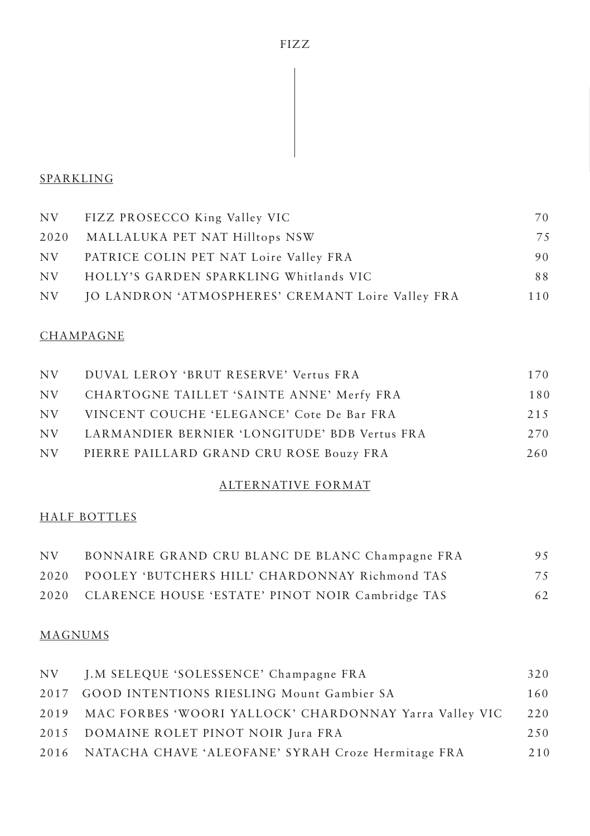# SPARKLING

| FIZZ PROSECCO King Valley VIC                     | 70  |
|---------------------------------------------------|-----|
| 2020 MALLALUKA PET NAT Hilltops NSW               | 75  |
| PATRICE COLIN PET NAT Loire Valley FRA            | 90  |
| HOLLY'S GARDEN SPARKLING Whitlands VIC            | 88  |
| JO LANDRON 'ATMOSPHERES' CREMANT Loire Valley FRA | 110 |
|                                                   |     |

## **CHAMPAGNE**

| NV -    | DUVAL LEROY 'BRUT RESERVE' Vertus FRA            | 170  |
|---------|--------------------------------------------------|------|
| $N_{V}$ | CHARTOGNE TAILLET 'SAINTE ANNE' Merfy FRA        | 180  |
| NV -    | VINCENT COUCHE 'ELEGANCE' Cote De Bar FRA        | 2.15 |
|         | NV LARMANDIER BERNIER 'LONGITUDE' BDB Vertus FRA | 270  |
| NV.     | PIERRE PAILLARD GRAND CRU ROSE Bouzy FRA         | 260  |

# ALTERNATIVE FORMAT

# HALF BOTTLES

| NV. | BONNAIRE GRAND CRU BLANC DE BLANC Champagne FRA       | 9.5 |
|-----|-------------------------------------------------------|-----|
|     | 2020 POOLEY 'BUTCHERS HILL' CHARDONNAY Richmond TAS   | 75  |
|     | 2020 CLARENCE HOUSE 'ESTATE' PINOT NOIR Cambridge TAS | 62  |

## MAGNUMS

| NV J.M SELEQUE 'SOLESSENCE' Champagne FRA                   | 320  |
|-------------------------------------------------------------|------|
| 2017 GOOD INTENTIONS RIESLING Mount Gambier SA              | 160  |
| 2019 MAC FORBES 'WOORI YALLOCK' CHARDONNAY Yarra Valley VIC | 220  |
| 2015 DOMAINE ROLET PINOT NOIR Jura FRA                      | 2.50 |
| 2016 NATACHA CHAVE 'ALEOFANE' SYRAH Croze Hermitage FRA     | 210  |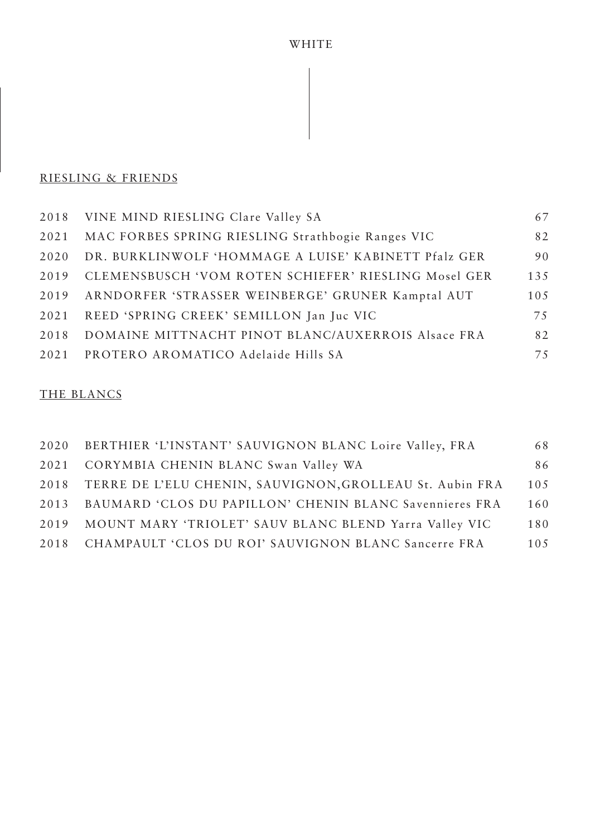### WHITE

## RIESLING & FRIENDS

|      | 2018 VINE MIND RIESLING Clare Valley SA                | 67  |
|------|--------------------------------------------------------|-----|
| 2021 | MAC FORBES SPRING RIESLING Strathbogie Ranges VIC      | 82  |
| 2020 | DR. BURKLINWOLF 'HOMMAGE A LUISE' KABINETT Pfalz GER   | 90  |
| 2019 | CLEMENSBUSCH 'VOM ROTEN SCHIEFER' RIESLING Mosel GER   | 135 |
|      | 2019 ARNDORFER 'STRASSER WEINBERGE' GRUNER Kamptal AUT | 105 |
| 2021 | REED 'SPRING CREEK' SEMILLON Jan Juc VIC               | 75  |
| 2018 | DOMAINE MITTNACHT PINOT BLANC/AUXERROIS Alsace FRA     | 82  |
| 2021 | PROTERO AROMATICO Adelaide Hills SA                    | 75  |

# THE BLANCS

|      | 2020 BERTHIER 'L'INSTANT' SAUVIGNON BLANC Loire Valley, FRA   | 68   |
|------|---------------------------------------------------------------|------|
|      | 2021 CORYMBIA CHENIN BLANC Swan Valley WA                     | 86   |
|      | 2018 TERRE DE L'ELU CHENIN, SAUVIGNON, GROLLEAU St. Aubin FRA | 105  |
| 2013 | BAUMARD 'CLOS DU PAPILLON' CHENIN BLANC Savennieres FRA       | 160  |
| 2019 | MOUNT MARY 'TRIOLET' SAUV BLANC BLEND Yarra Valley VIC        | 180  |
| 2018 | CHAMPAULT 'CLOS DU ROI' SAUVIGNON BLANC Sancerre FRA          | 10.5 |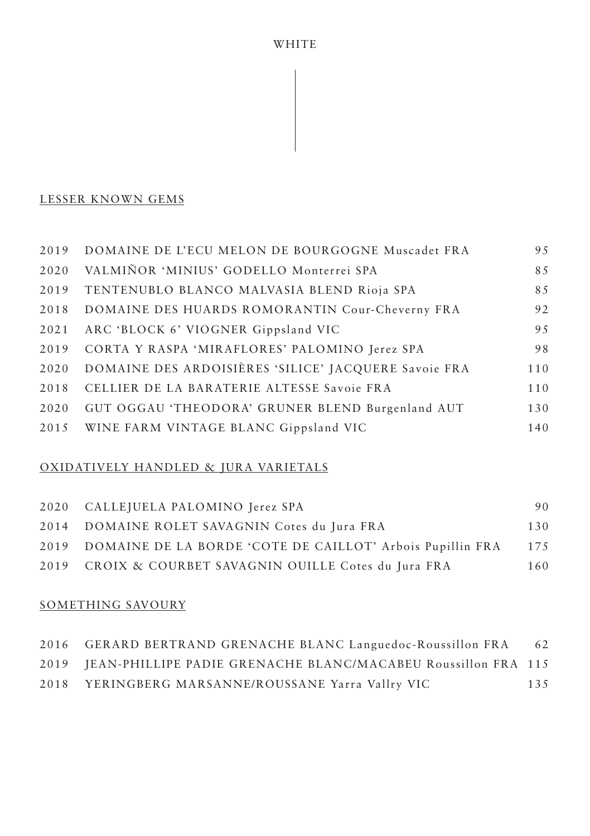WHITE

# LESSER KNOWN GEMS

| 2019 | DOMAINE DE L'ECU MELON DE BOURGOGNE Muscadet FRA     | 9.5 |
|------|------------------------------------------------------|-----|
| 2020 | VALMIÑOR 'MINIUS' GODELLO Monterrei SPA              | 85  |
| 2019 | TENTENUBLO BLANCO MALVASIA BLEND Rioja SPA           | 85  |
| 2018 | DOMAINE DES HUARDS ROMORANTIN Cour-Cheverny FRA      | 92  |
| 2021 | ARC 'BLOCK 6' VIOGNER Gippsland VIC                  | 95  |
| 2019 | CORTA Y RASPA 'MIRAFLORES' PALOMINO Jerez SPA        | 98  |
| 2020 | DOMAINE DES ARDOISIÈRES 'SILICE' JACQUERE Savoie FRA | 110 |
| 2018 | CELLIER DE LA BARATERIE ALTESSE Savoie FRA           | 110 |
| 2020 | GUT OGGAU 'THEODORA' GRUNER BLEND Burgenland AUT     | 130 |
| 2015 | WINE FARM VINTAGE BLANC Gippsland VIC                | 140 |

#### OXIDATIVELY HANDLED & JURA VARIETALS

| 2020 CALLEJUELA PALOMINO Jerez SPA                             | 90  |
|----------------------------------------------------------------|-----|
| 2014 DOMAINE ROLET SAVAGNIN Cotes du Jura FRA                  | 130 |
| 2019 DOMAINE DE LA BORDE 'COTE DE CAILLOT' Arbois Pupillin FRA | 175 |
| 2019 CROIX & COURBET SAVAGNIN OUILLE Cotes du Jura FRA         | 160 |

### SOMETHING SAVOURY

| 2016 GERARD BERTRAND GRENACHE BLANC Languedoc-Roussillon FRA       | 62  |
|--------------------------------------------------------------------|-----|
| 2019 JEAN-PHILLIPE PADIE GRENACHE BLANC/MACABEU Roussillon FRA 115 |     |
| 2018 YERINGBERG MARSANNE/ROUSSANE Yarra Vallry VIC                 | 135 |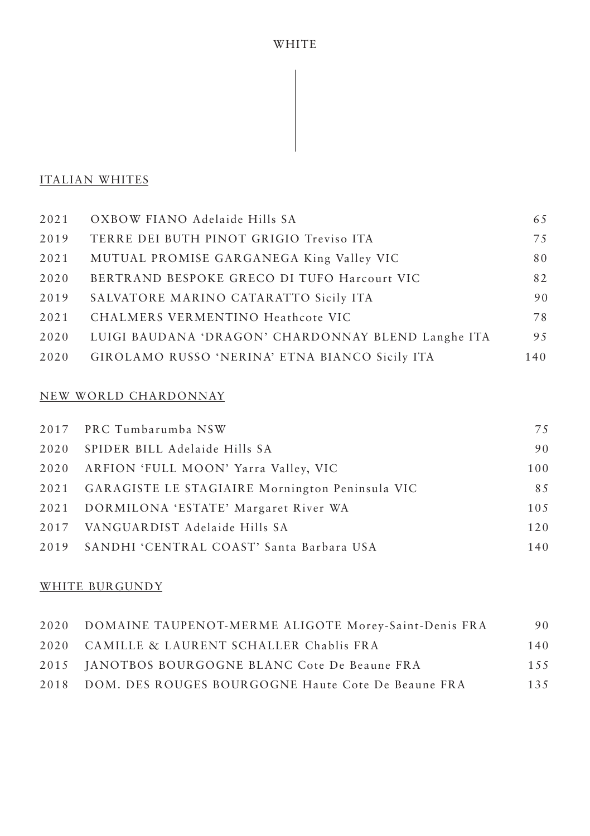## ITALIAN WHITES

| 2021 | OXBOW FIANO Adelaide Hills SA                      | 65  |
|------|----------------------------------------------------|-----|
| 2019 | TERRE DEI BUTH PINOT GRIGIO Treviso ITA            | 75  |
| 2021 | MUTUAL PROMISE GARGANEGA King Valley VIC           | 80  |
| 2020 | BERTRAND BESPOKE GRECO DI TUFO Harcourt VIC        | 82  |
| 2019 | SALVATORE MARINO CATARATTO Sicily ITA              | 90  |
| 2021 | CHALMERS VERMENTINO Heathcote VIC                  | 78  |
| 2020 | LUIGI BAUDANA 'DRAGON' CHARDONNAY BLEND Langhe ITA | 9.5 |
| 2020 | GIROLAMO RUSSO 'NERINA' ETNA BIANCO Sicily ITA     | 140 |

## NEW WORLD CHARDONNAY

| 2017 PRC Tumbarumba NSW                              | 75  |
|------------------------------------------------------|-----|
| 2020 SPIDER BILL Adelaide Hills SA                   | 90  |
| 2020 ARFION 'FULL MOON' Yarra Valley, VIC            | 100 |
| 2021 GARAGISTE LE STAGIAIRE Mornington Peninsula VIC | 85  |
| 2021 DORMILONA 'ESTATE' Margaret River WA            | 105 |
| 2017 VANGUARDIST Adelaide Hills SA                   | 120 |
| 2019 SANDHI 'CENTRAL COAST' Santa Barbara USA        | 140 |

#### WHITE BURGUNDY

| 2020 DOMAINE TAUPENOT-MERME ALIGOTE Morey-Saint-Denis FRA | 90  |
|-----------------------------------------------------------|-----|
| 2020 CAMILLE & LAURENT SCHALLER Chablis FRA               | 140 |
| 2015 JANOTBOS BOURGOGNE BLANC Cote De Beaune FRA          | 155 |
| 2018 DOM. DES ROUGES BOURGOGNE Haute Cote De Beaune FRA   | 135 |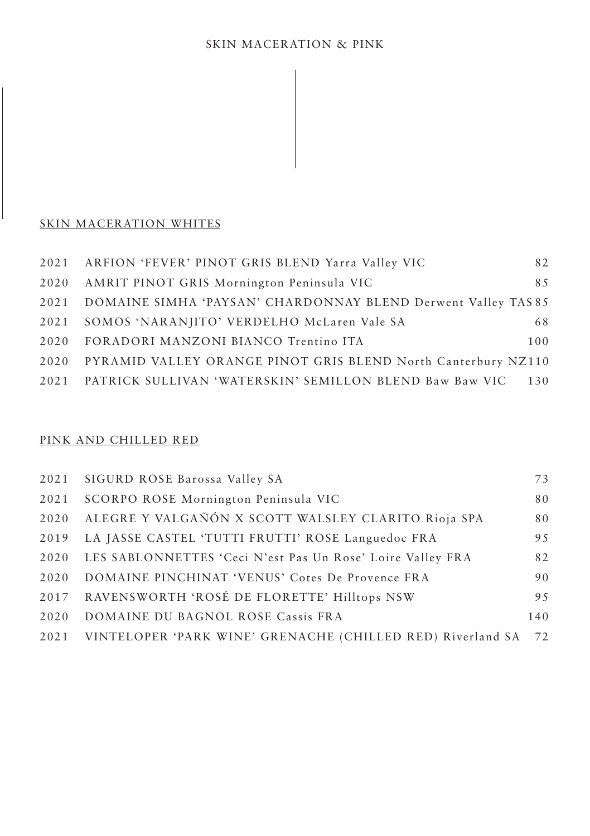### SKIN MACERATION WHITES

|      | 2021 ARFION 'FEVER' PINOT GRIS BLEND Yarra Valley VIC         | 82  |
|------|---------------------------------------------------------------|-----|
|      | 2020 AMRIT PINOT GRIS Mornington Peninsula VIC                | 8.5 |
| 2021 | DOMAINE SIMHA 'PAYSAN' CHARDONNAY BLEND Derwent Valley TAS 85 |     |
| 2021 | SOMOS 'NARANJITO' VERDELHO McLaren Vale SA                    | 68  |
| 2020 | FORADORI MANZONI BIANCO Trentino ITA                          | 100 |
| 2020 | PYRAMID VALLEY ORANGE PINOT GRIS BLEND North Canterbury NZ110 |     |
| 2021 | PATRICK SULLIVAN 'WATERSKIN' SEMILLON BLEND Baw Baw VIC       | 130 |

### PINK AND CHILLED RED

|      | 2021 SIGURD ROSE Barossa Valley SA                         | 73  |
|------|------------------------------------------------------------|-----|
| 2021 | SCORPO ROSE Mornington Peninsula VIC                       | 80  |
| 2020 | ALEGRE Y VALGAÑÓN X SCOTT WALSLEY CLARITO Rioja SPA        | 80  |
| 2019 | LA JASSE CASTEL 'TUTTI FRUTTI' ROSE Languedoc FRA          | 95  |
| 2020 | LES SABLONNETTES 'Ceci N'est Pas Un Rose' Loire Valley FRA | 82  |
| 2020 | DOMAINE PINCHINAT 'VENUS' Cotes De Provence FRA            | 90  |
| 2017 | RAVENSWORTH 'ROSÉ DE FLORETTE' Hilltops NSW                | 9.5 |
| 2020 | DOMAINE DU BAGNOL ROSE Cassis FRA                          | 140 |
| 2021 | VINTELOPER 'PARK WINE' GRENACHE (CHILLED RED) Riverland SA | 72  |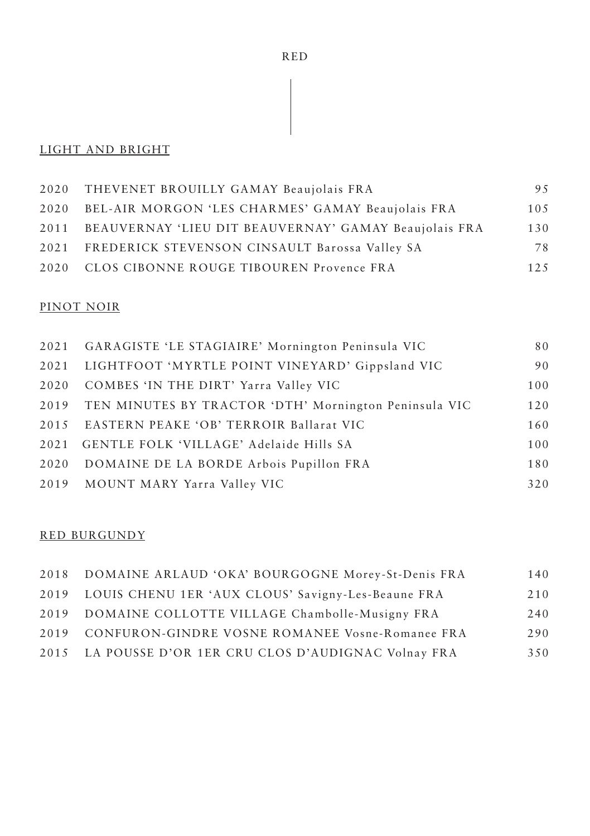# RED

# LIGHT AND BRIGHT

| 2020 THEVENET BROUILLY GAMAY Beaujolais FRA                | 95   |
|------------------------------------------------------------|------|
| 2020 BEL-AIR MORGON 'LES CHARMES' GAMAY Beaujolais FRA     | 10.5 |
| 2011 BEAUVERNAY 'LIEU DIT BEAUVERNAY' GAMAY Beaujolais FRA | 130  |
| 2021 FREDERICK STEVENSON CINSAULT Barossa Valley SA        | 78   |
| 2020 CLOS CIBONNE ROUGE TIBOUREN Provence FRA              | 12.5 |

## PINOT NOIR

| 2021 GARAGISTE 'LE STAGIAIRE' Mornington Peninsula VIC     | 80  |
|------------------------------------------------------------|-----|
| 2021 LIGHTFOOT 'MYRTLE POINT VINEYARD' Gippsland VIC       | 90  |
| 2020 COMBES 'IN THE DIRT' Yarra Valley VIC                 | 100 |
| 2019 TEN MINUTES BY TRACTOR 'DTH' Mornington Peninsula VIC | 120 |
| 2015 EASTERN PEAKE 'OB' TERROIR Ballarat VIC               | 160 |
| 2021 GENTLE FOLK 'VILLAGE' Adelaide Hills SA               | 100 |
| 2020 DOMAINE DE LA BORDE Arbois Pupillon FRA               | 180 |
| 2019 MOUNT MARY Yarra Valley VIC                           | 320 |

#### RED BURGUNDY

| 2018 DOMAINE ARLAUD 'OKA' BOURGOGNE Morey-St-Denis FRA  | 140 |
|---------------------------------------------------------|-----|
| 2019 LOUIS CHENU 1ER 'AUX CLOUS' Savigny-Les-Beaune FRA | 210 |
| 2019 DOMAINE COLLOTTE VILLAGE Chambolle-Musigny FRA     | 240 |
| 2019 CONFURON-GINDRE VOSNE ROMANEE Vosne-Romanee FRA    | 290 |
| 2015 LA POUSSE D'OR 1ER CRU CLOS D'AUDIGNAC Volnay FRA  | 350 |
|                                                         |     |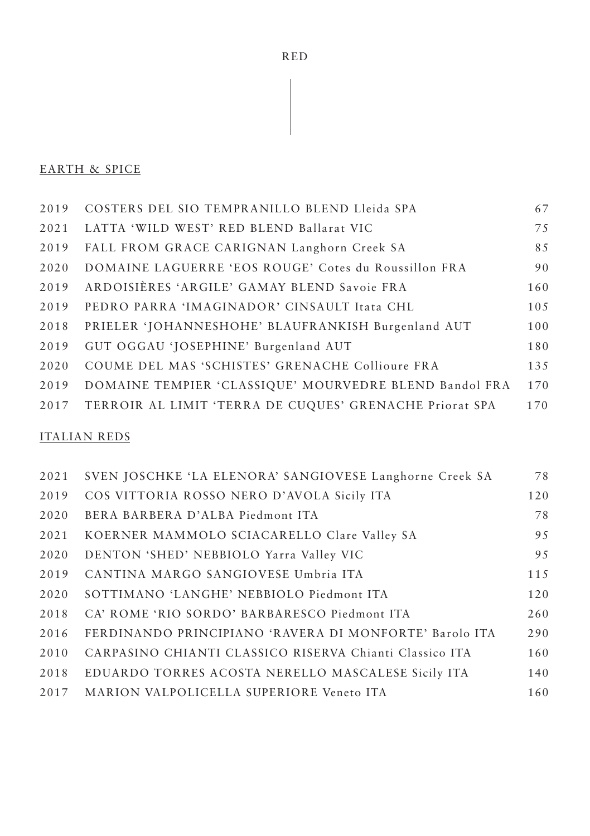# **EARTH & SPICE**

| 2019 | COSTERS DEL SIO TEMPRANILLO BLEND Lleida SPA                 | 67  |
|------|--------------------------------------------------------------|-----|
| 2021 | LATTA 'WILD WEST' RED BLEND Ballarat VIC                     | 75  |
| 2019 | FALL FROM GRACE CARIGNAN Langhorn Creek SA                   | 85  |
| 2020 | DOMAINE LAGUERRE 'EOS ROUGE' Cotes du Roussillon FRA         | 90  |
| 2019 | ARDOISIÈRES 'ARGILE' GAMAY BLEND Savoie FRA                  | 160 |
| 2019 | PEDRO PARRA 'IMAGINADOR' CINSAULT Itata CHL                  | 105 |
| 2018 | PRIELER 'JOHANNESHOHE' BLAUFRANKISH Burgenland AUT           | 100 |
| 2019 | GUT OGGAU 'JOSEPHINE' Burgenland AUT                         | 180 |
| 2020 | COUME DEL MAS 'SCHISTES' GRENACHE Collioure FRA              | 135 |
| 2019 | DOMAINE TEMPIER 'CLASSIQUE' MOURVEDRE BLEND Bandol FRA       | 170 |
|      | 2017 TERROIR AL LIMIT 'TERRA DE CUQUES' GRENACHE Priorat SPA | 170 |
|      |                                                              |     |

## **ITALIAN REDS**

| 2021 | SVEN JOSCHKE 'LA ELENORA' SANGIOVESE Langhorne Creek SA | 78  |
|------|---------------------------------------------------------|-----|
| 2019 | COS VITTORIA ROSSO NERO D'AVOLA Sicily ITA              | 120 |
| 2020 | BERA BARBERA D'ALBA Piedmont ITA                        | 78  |
| 2021 | KOERNER MAMMOLO SCIACARELLO Clare Valley SA             | 95  |
| 2020 | DENTON 'SHED' NEBBIOLO Yarra Valley VIC                 | 95  |
| 2019 | CANTINA MARGO SANGIOVESE Umbria ITA                     | 115 |
| 2020 | SOTTIMANO 'LANGHE' NEBBIOLO Piedmont ITA                | 120 |
| 2018 | CA' ROME 'RIO SORDO' BARBARESCO Piedmont ITA            | 260 |
| 2016 | FERDINANDO PRINCIPIANO 'RAVERA DI MONFORTE' Barolo ITA  | 290 |
| 2010 | CARPASINO CHIANTI CLASSICO RISERVA Chianti Classico ITA | 160 |
| 2018 | EDUARDO TORRES ACOSTA NERELLO MASCALESE Sicily ITA      | 140 |
| 2017 | MARION VALPOLICELLA SUPERIORE Veneto ITA                | 160 |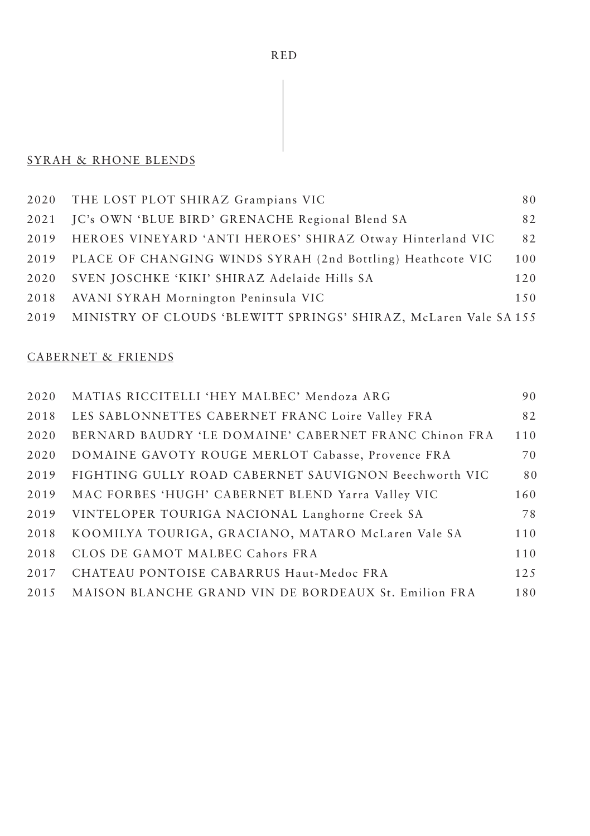# SYRAH & RHONE BLENDS

|      | 2020 THE LOST PLOT SHIRAZ Grampians VIC                          | 80  |
|------|------------------------------------------------------------------|-----|
| 2021 | IC's OWN 'BLUE BIRD' GRENACHE Regional Blend SA                  | 82  |
| 2019 | HEROES VINEYARD 'ANTI HEROES' SHIRAZ Otway Hinterland VIC        | 82  |
| 2019 | PLACE OF CHANGING WINDS SYRAH (2nd Bottling) Heathcote VIC       | 100 |
| 2020 | SVEN JOSCHKE 'KIKI' SHIRAZ Adelaide Hills SA                     | 120 |
| 2018 | AVANI SYRAH Mornington Peninsula VIC                             | 150 |
| 2019 | MINISTRY OF CLOUDS 'BLEWITT SPRINGS' SHIRAZ, McLaren Vale SA 155 |     |

## CABERNET & FRIENDS

| 2020 | MATIAS RICCITELLI 'HEY MALBEC' Mendoza ARG            | 90   |
|------|-------------------------------------------------------|------|
| 2018 | LES SABLONNETTES CABERNET FRANC Loire Valley FRA      | 82   |
| 2020 | BERNARD BAUDRY 'LE DOMAINE' CABERNET FRANC Chinon FRA | 110  |
| 2020 | DOMAINE GAVOTY ROUGE MERLOT Cabasse, Provence FRA     | 70   |
| 2019 | FIGHTING GULLY ROAD CABERNET SAUVIGNON Beechworth VIC | 80   |
| 2019 | MAC FORBES 'HUGH' CABERNET BLEND Yarra Valley VIC     | 160  |
| 2019 | VINTELOPER TOURIGA NACIONAL Langhorne Creek SA        | 78   |
| 2018 | KOOMILYA TOURIGA, GRACIANO, MATARO McLaren Vale SA    | 110  |
| 2018 | CLOS DE GAMOT MALBEC Cahors FRA                       | 110  |
| 2017 | CHATEAU PONTOISE CABARRUS Haut-Medoc FRA              | 12.5 |
| 2015 | MAISON BLANCHE GRAND VIN DE BORDEAUX St. Emilion FRA  | 180  |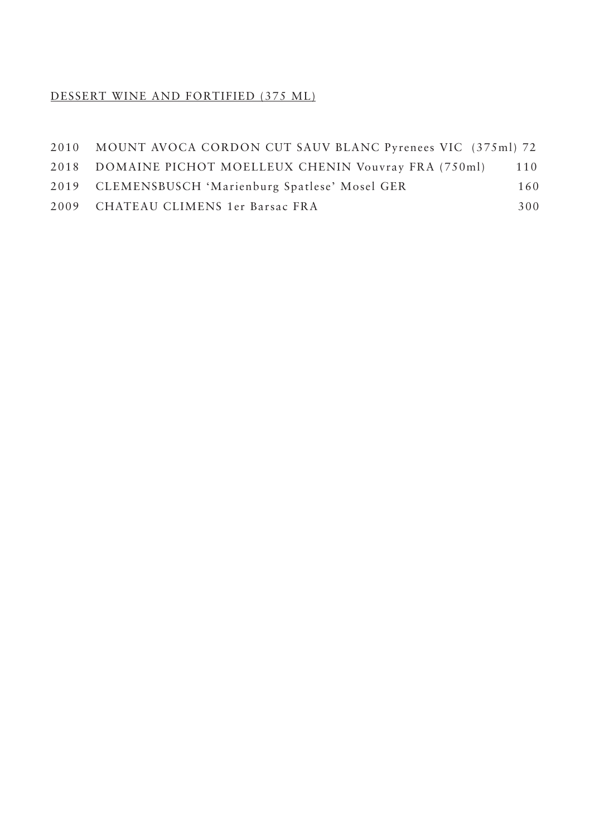# DESSERT WINE AND FORTIFIED (375 ML)

| 2010 MOUNT AVOCA CORDON CUT SAUV BLANC Pyrenees VIC (375ml) 72 |     |
|----------------------------------------------------------------|-----|
| 2018 DOMAINE PICHOT MOELLEUX CHENIN Vouvray FRA (750ml)        | 110 |
| 2019 CLEMENSBUSCH 'Marienburg Spatlese' Mosel GER              | 160 |
| 2009 CHATEAU CLIMENS 1er Barsac FRA                            | 300 |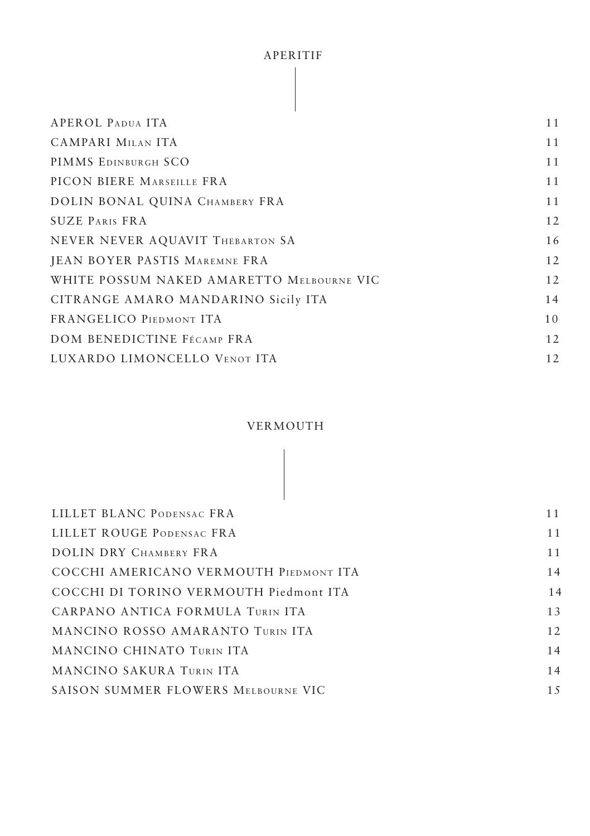#### APERITIF

| APEROL PADUA ITA                          | 11 |
|-------------------------------------------|----|
| CAMPARI MILAN ITA                         | 11 |
| PIMMS EDINBURGH SCO                       | 11 |
| PICON BIERE MARSEILLE FRA                 | 11 |
| DOLIN BONAL QUINA CHAMBERY FRA            | 11 |
| <b>SUZE PARIS FRA</b>                     | 12 |
| NEVER NEVER AQUAVIT THEBARTON SA          | 16 |
| JEAN BOYER PASTIS MAREMNE FRA             | 12 |
| WHITE POSSUM NAKED AMARETTO MELBOURNE VIC | 12 |
| CITRANGE AMARO MANDARINO Sicily ITA       | 14 |
| FRANGELICO PIEDMONT ITA                   | 10 |
| DOM BENEDICTINE FÉCAMP FRA                | 12 |
| LUXARDO LIMONCELLO VENOT ITA              | 12 |

### VERMOUTH

| LILLET BLANC PODENSAC FRA              | 11  |
|----------------------------------------|-----|
| LILLET ROUGE PODENSAC FRA              | 11  |
| DOLIN DRY CHAMBERY FRA                 | 11  |
| COCCHI AMERICANO VERMOUTH PIEDMONT ITA | 14  |
| COCCHI DI TORINO VERMOUTH Piedmont ITA | 14  |
| CARPANO ANTICA FORMULA TURIN ITA       | 13  |
| MANCINO ROSSO AMARANTO TURIN ITA       | 12  |
| MANCINO CHINATO TURIN ITA              | 14  |
| MANCINO SAKURA TURIN ITA               | 14  |
| SAISON SUMMER FLOWERS MELBOURNE VIC    | 1.5 |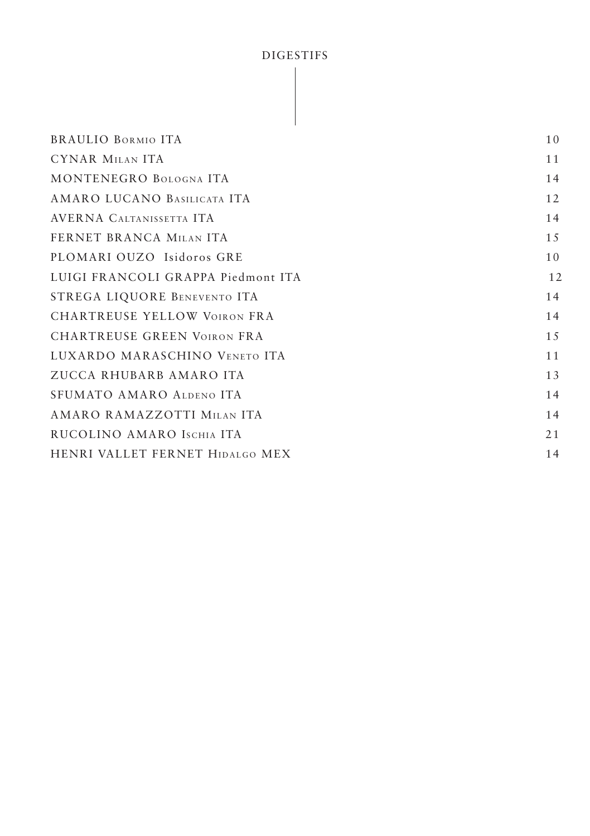# DIGESTIFS

| <b>BRAULIO BORMIO ITA</b>          | 10 |
|------------------------------------|----|
| CYNAR MILAN ITA                    | 11 |
| MONTENEGRO BOLOGNA ITA             | 14 |
| AMARO LUCANO BASILICATA ITA        | 12 |
| AVERNA CALTANISSETTA ITA           | 14 |
| FERNET BRANCA MILAN ITA            | 15 |
| PLOMARI OUZO Isidoros GRE          | 10 |
| LUIGI FRANCOLI GRAPPA Piedmont ITA | 12 |
| STREGA LIQUORE BENEVENTO ITA       | 14 |
| CHARTREUSE YELLOW VOIRON FRA       | 14 |
| <b>CHARTREUSE GREEN VOIRON FRA</b> | 15 |
| LUXARDO MARASCHINO VENETO ITA      | 11 |
| ZUCCA RHUBARB AMARO ITA            | 13 |
| SFUMATO AMARO ALDENO ITA           | 14 |
| AMARO RAMAZZOTTI MILAN ITA         | 14 |
| RUCOLINO AMARO ISCHIA ITA          | 21 |
| HENRI VALLET FERNET HIDALGO MEX    | 14 |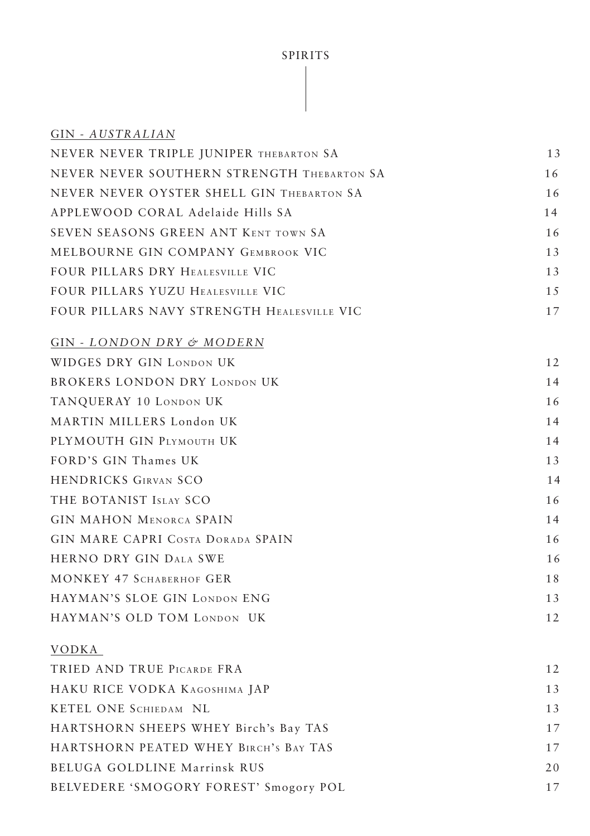# SPIRITS

| GIN - AUSTRALIAN                           |    |
|--------------------------------------------|----|
| NEVER NEVER TRIPLE JUNIPER THEBARTON SA    | 13 |
| NEVER NEVER SOUTHERN STRENGTH THEBARTON SA | 16 |
| NEVER NEVER OYSTER SHELL GIN THEBARTON SA  | 16 |
| APPLEWOOD CORAL Adelaide Hills SA          | 14 |
| SEVEN SEASONS GREEN ANT KENT TOWN SA       | 16 |
| MELBOURNE GIN COMPANY GEMBROOK VIC         | 13 |
| FOUR PILLARS DRY HEALESVILLE VIC           | 13 |
| FOUR PILLARS YUZU HEALESVILLE VIC          | 15 |
| FOUR PILLARS NAVY STRENGTH HEALESVILLE VIC | 17 |
| GIN - LONDON DRY & MODERN                  |    |
| WIDGES DRY GIN LONDON UK                   | 12 |
| <b>BROKERS LONDON DRY LONDON UK</b>        | 14 |
| TANQUERAY 10 LONDON UK                     | 16 |
| MARTIN MILLERS London UK                   | 14 |
| PLYMOUTH GIN PLYMOUTH UK                   | 14 |
| FORD'S GIN Thames UK                       | 13 |
| <b>HENDRICKS GIRVAN SCO</b>                | 14 |
| THE BOTANIST ISLAY SCO                     | 16 |
| <b>GIN MAHON MENORCA SPAIN</b>             | 14 |
| GIN MARE CAPRI COSTA DORADA SPAIN          | 16 |
| HERNO DRY GIN DALA SWE                     | 16 |
| MONKEY 47 SCHABERHOF GER                   | 18 |
| HAYMAN'S SLOE GIN LONDON ENG               | 13 |
| HAYMAN'S OLD TOM LONDON UK                 | 12 |
| VODKA                                      |    |
| TRIED AND TRUE PICARDE FRA                 | 12 |
| HAKU RICE VODKA KAGOSHIMA JAP              | 13 |
| KETEL ONE SCHIEDAM NL                      | 13 |
| HARTSHORN SHEEPS WHEY Birch's Bay TAS      | 17 |
| HARTSHORN PEATED WHEY BIRCH'S BAY TAS      | 17 |
| BELUGA GOLDLINE Marrinsk RUS               | 20 |
| BELVEDERE 'SMOGORY FOREST' Smogory POL     | 17 |
|                                            |    |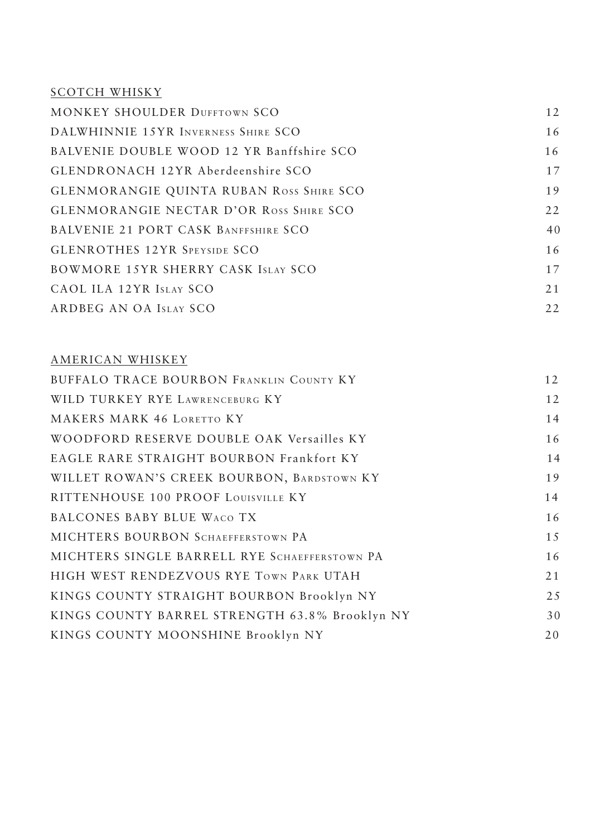# SCOTCH WHISKY

| <b>MONKEY SHOULDER DUFFTOWN SCO</b>             | 12 |
|-------------------------------------------------|----|
| DALWHINNIE 15YR INVERNESS SHIRE SCO             | 16 |
| BALVENIE DOUBLE WOOD 12 YR Banffshire SCO       | 16 |
| GLENDRONACH 12YR Aberdeenshire SCO              | 17 |
| <b>GLENMORANGIE QUINTA RUBAN ROSS SHIRE SCO</b> | 19 |
| <b>GLENMORANGIE NECTAR D'OR ROSS SHIRE SCO</b>  | 22 |
| BALVENIE 21 PORT CASK BANFFSHIRE SCO            | 40 |
| <b>GLENROTHES 12YR SPEYSIDE SCO</b>             | 16 |
| BOWMORE 15YR SHERRY CASK ISLAY SCO              | 17 |
| CAOL ILA 12YR ISLAY SCO                         | 21 |
| ARDBEG AN OA ISLAY SCO                          | 22 |
|                                                 |    |

# AMERICAN WHISKEY

| BUFFALO TRACE BOURBON FRANKLIN COUNTY KY       | 12  |
|------------------------------------------------|-----|
| WILD TURKEY RYE LAWRENCEBURG KY                | 12  |
| MAKERS MARK 46 LORETTO KY                      | 14  |
| WOODFORD RESERVE DOUBLE OAK Versailles KY      | 16  |
| EAGLE RARE STRAIGHT BOURBON Frankfort KY       | 14  |
| WILLET ROWAN'S CREEK BOURBON, BARDSTOWN KY     | 19  |
| RITTENHOUSE 100 PROOF LOUISVILLE KY            | 14  |
| BALCONES BABY BLUE WACO TX                     | 16  |
| MICHTERS BOURBON SCHAEFFERSTOWN PA             | 15  |
| MICHTERS SINGLE BARRELL RYE SCHAEFFERSTOWN PA  | 16  |
| HIGH WEST RENDEZVOUS RYE TOWN PARK UTAH        | 21  |
| KINGS COUNTY STRAIGHT BOURBON Brooklyn NY      | 2.5 |
| KINGS COUNTY BARREL STRENGTH 63.8% Brooklyn NY | 30  |
| KINGS COUNTY MOONSHINE Brooklyn NY             | 20  |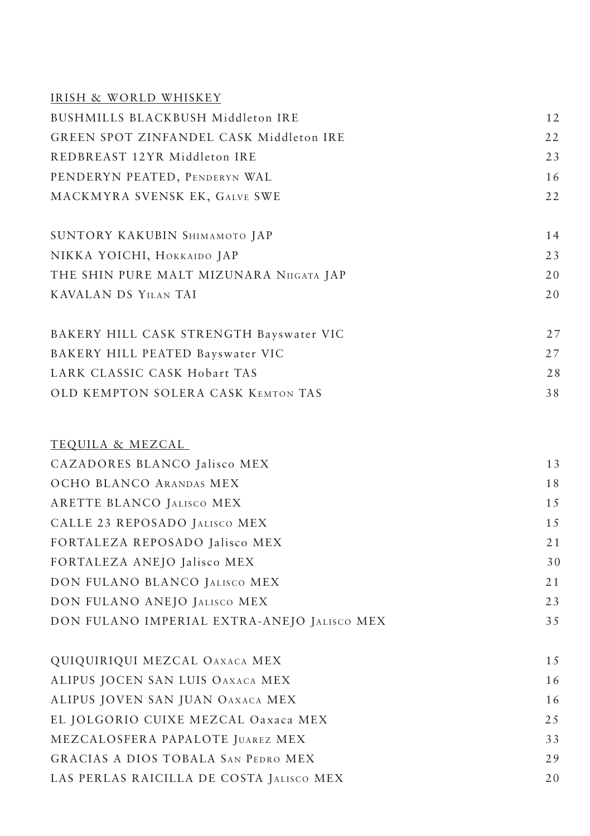| IRISH & WORLD WHISKEY                          |    |
|------------------------------------------------|----|
| BUSHMILLS BLACKBUSH Middleton IRE              | 12 |
| <b>GREEN SPOT ZINFANDEL CASK Middleton IRE</b> | 22 |
| REDBREAST 12YR Middleton IRE                   | 23 |
| PENDERYN PEATED, PENDERYN WAL                  | 16 |
| MACKMYRA SVENSK EK, GALVE SWE                  | 22 |
| SUNTORY KAKUBIN SHIMAMOTO JAP                  | 14 |
| NIKKA YOICHI, HOKKAIDO JAP                     | 23 |
| THE SHIN PURE MALT MIZUNARA NIIGATA JAP        | 20 |
| KAVALAN DS YILAN TAI                           | 20 |
|                                                |    |
| BAKERY HILL CASK STRENGTH Bayswater VIC        | 27 |
| BAKERY HILL PEATED Bayswater VIC               | 27 |
| LARK CLASSIC CASK Hobart TAS                   | 28 |
| OLD KEMPTON SOLERA CASK KEMTON TAS             | 38 |
|                                                |    |
| TEQUILA & MEZCAL                               |    |
| CAZADORES BLANCO Jalisco MEX                   | 13 |
| OCHO BLANCO ARANDAS MEX                        | 18 |
| ARETTE BLANCO JALISCO MEX                      | 15 |
| CALLE 23 REPOSADO JALISCO MEX                  | 15 |
| FORTALEZA REPOSADO Jalisco MEX                 | 21 |
| FORTALEZA ANEJO Jalisco MEX                    | 30 |
| DON FULANO BLANCO JALISCO MEX                  | 21 |
| DON FULANO ANEJO JALISCO MEX                   | 23 |
| DON FULANO IMPERIAL EXTRA-ANEJO JALISCO MEX    | 35 |
|                                                |    |
| QUIQUIRIQUI MEZCAL OAXACA MEX                  | 15 |
| ALIPUS JOCEN SAN LUIS OAXACA MEX               | 16 |
| ALIPUS JOVEN SAN JUAN OAXACA MEX               | 16 |
| EL JOLGORIO CUIXE MEZCAL Oaxaca MEX            | 25 |
| MEZCALOSFERA PAPALOTE JUAREZ MEX               | 33 |
| GRACIAS A DIOS TOBALA SAN PEDRO MEX            | 29 |
| LAS PERLAS RAICILLA DE COSTA JALISCO MEX       | 20 |